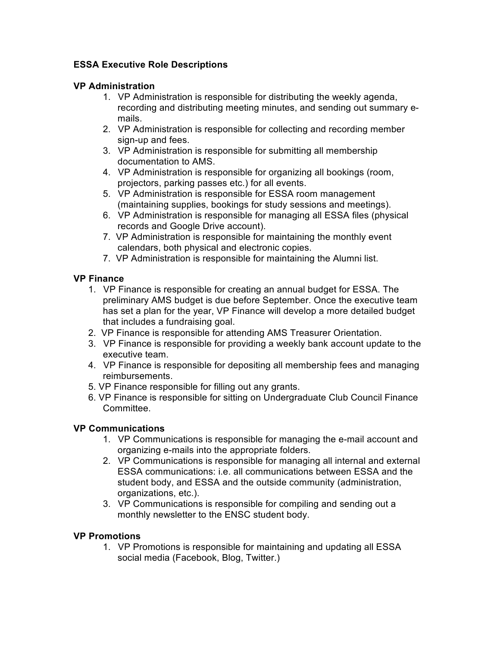# **ESSA Executive Role Descriptions**

## **VP Administration**

- 1. VP Administration is responsible for distributing the weekly agenda, recording and distributing meeting minutes, and sending out summary emails.
- 2. VP Administration is responsible for collecting and recording member sign-up and fees.
- 3. VP Administration is responsible for submitting all membership documentation to AMS.
- 4. VP Administration is responsible for organizing all bookings (room, projectors, parking passes etc.) for all events.
- 5. VP Administration is responsible for ESSA room management (maintaining supplies, bookings for study sessions and meetings).
- 6. VP Administration is responsible for managing all ESSA files (physical records and Google Drive account).
- 7. VP Administration is responsible for maintaining the monthly event calendars, both physical and electronic copies.
- 7. VP Administration is responsible for maintaining the Alumni list.

# **VP Finance**

- 1. VP Finance is responsible for creating an annual budget for ESSA. The preliminary AMS budget is due before September. Once the executive team has set a plan for the year, VP Finance will develop a more detailed budget that includes a fundraising goal.
- 2. VP Finance is responsible for attending AMS Treasurer Orientation.
- 3. VP Finance is responsible for providing a weekly bank account update to the executive team.
- 4. VP Finance is responsible for depositing all membership fees and managing reimbursements.
- 5. VP Finance responsible for filling out any grants.
- 6. VP Finance is responsible for sitting on Undergraduate Club Council Finance **Committee.**

# **VP Communications**

- 1. VP Communications is responsible for managing the e-mail account and organizing e-mails into the appropriate folders.
- 2. VP Communications is responsible for managing all internal and external ESSA communications: i.e. all communications between ESSA and the student body, and ESSA and the outside community (administration, organizations, etc.).
- 3. VP Communications is responsible for compiling and sending out a monthly newsletter to the ENSC student body.

# **VP Promotions**

1. VP Promotions is responsible for maintaining and updating all ESSA social media (Facebook, Blog, Twitter.)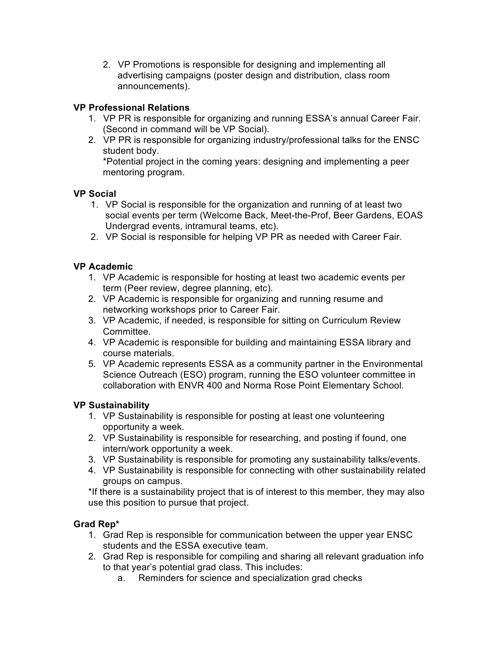2. VP Promotions is responsible for designing and implementing all advertising campaigns (poster design and distribution, class room announcements).

# **VP Professional Relations**

- 1. VP PR is responsible for organizing and running ESSA's annual Career Fair. (Second in command will be VP Social).
- 2. VP PR is responsible for organizing industry/professional talks for the ENSC student body.

\*Potential project in the coming years: designing and implementing a peer mentoring program.

### **VP Social**

- 1. VP Social is responsible for the organization and running of at least two social events per term (Welcome Back, Meet-the-Prof, Beer Gardens, EOAS Undergrad events, intramural teams, etc).
- 2. VP Social is responsible for helping VP PR as needed with Career Fair.

# **VP Academic**

- 1. VP Academic is responsible for hosting at least two academic events per term (Peer review, degree planning, etc).
- 2. VP Academic is responsible for organizing and running resume and networking workshops prior to Career Fair.
- 3. VP Academic, if needed, is responsible for sitting on Curriculum Review Committee.
- 4. VP Academic is responsible for building and maintaining ESSA library and course materials.
- 5. VP Academic represents ESSA as a community partner in the Environmental Science Outreach (ESO) program, running the ESO volunteer committee in collaboration with ENVR 400 and Norma Rose Point Elementary School.

### **VP Sustainability**

- 1. VP Sustainability is responsible for posting at least one volunteering opportunity a week.
- 2. VP Sustainability is responsible for researching, and posting if found, one intern/work opportunity a week.
- 3. VP Sustainability is responsible for promoting any sustainability talks/events.
- 4. VP Sustainability is responsible for connecting with other sustainability related groups on campus.

\*If there is a sustainability project that is of interest to this member, they may also use this position to pursue that project.

# **Grad Rep\***

- 1. Grad Rep is responsible for communication between the upper year ENSC students and the ESSA executive team.
- 2. Grad Rep is responsible for compiling and sharing all relevant graduation info to that year's potential grad class. This includes:
	- a. Reminders for science and specialization grad checks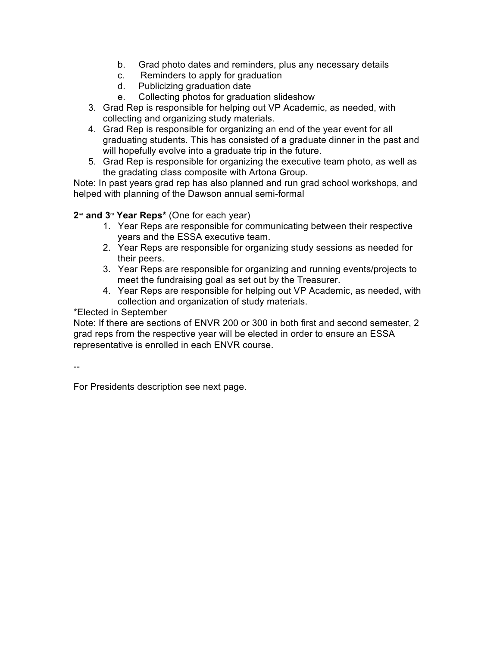- b. Grad photo dates and reminders, plus any necessary details
- c. Reminders to apply for graduation
- d. Publicizing graduation date
- e. Collecting photos for graduation slideshow
- 3. Grad Rep is responsible for helping out VP Academic, as needed, with collecting and organizing study materials.
- 4. Grad Rep is responsible for organizing an end of the year event for all graduating students. This has consisted of a graduate dinner in the past and will hopefully evolve into a graduate trip in the future.
- 5. Grad Rep is responsible for organizing the executive team photo, as well as the gradating class composite with Artona Group.

Note: In past years grad rep has also planned and run grad school workshops, and helped with planning of the Dawson annual semi-formal

### **2nd and 3rd Year Reps\*** (One for each year)

- 1. Year Reps are responsible for communicating between their respective years and the ESSA executive team.
- 2. Year Reps are responsible for organizing study sessions as needed for their peers.
- 3. Year Reps are responsible for organizing and running events/projects to meet the fundraising goal as set out by the Treasurer.
- 4. Year Reps are responsible for helping out VP Academic, as needed, with collection and organization of study materials.

\*Elected in September

Note: If there are sections of ENVR 200 or 300 in both first and second semester, 2 grad reps from the respective year will be elected in order to ensure an ESSA representative is enrolled in each ENVR course.

--

For Presidents description see next page.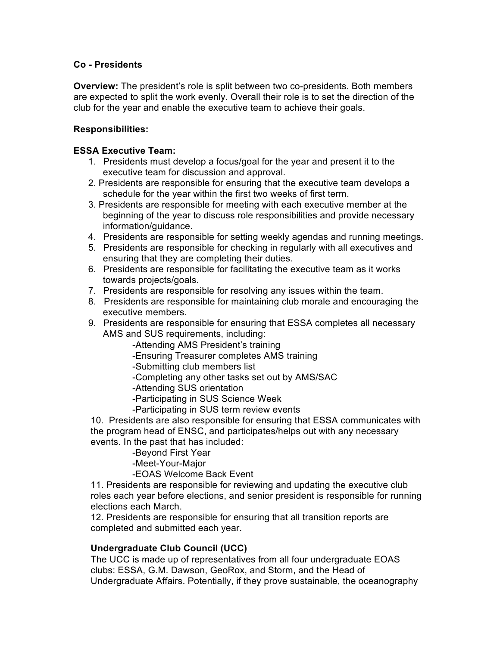### **Co - Presidents**

**Overview:** The president's role is split between two co-presidents. Both members are expected to split the work evenly. Overall their role is to set the direction of the club for the year and enable the executive team to achieve their goals.

### **Responsibilities:**

#### **ESSA Executive Team:**

- 1. Presidents must develop a focus/goal for the year and present it to the executive team for discussion and approval.
- 2. Presidents are responsible for ensuring that the executive team develops a schedule for the year within the first two weeks of first term.
- 3. Presidents are responsible for meeting with each executive member at the beginning of the year to discuss role responsibilities and provide necessary information/guidance.
- 4. Presidents are responsible for setting weekly agendas and running meetings.
- 5. Presidents are responsible for checking in regularly with all executives and ensuring that they are completing their duties.
- 6. Presidents are responsible for facilitating the executive team as it works towards projects/goals.
- 7. Presidents are responsible for resolving any issues within the team.
- 8. Presidents are responsible for maintaining club morale and encouraging the executive members.
- 9. Presidents are responsible for ensuring that ESSA completes all necessary AMS and SUS requirements, including:

-Attending AMS President's training

-Ensuring Treasurer completes AMS training

-Submitting club members list

-Completing any other tasks set out by AMS/SAC

-Attending SUS orientation

-Participating in SUS Science Week

-Participating in SUS term review events

10. Presidents are also responsible for ensuring that ESSA communicates with the program head of ENSC, and participates/helps out with any necessary events. In the past that has included:

-Beyond First Year

-Meet-Your-Major

-EOAS Welcome Back Event

11. Presidents are responsible for reviewing and updating the executive club roles each year before elections, and senior president is responsible for running elections each March.

12. Presidents are responsible for ensuring that all transition reports are completed and submitted each year.

### **Undergraduate Club Council (UCC)**

The UCC is made up of representatives from all four undergraduate EOAS clubs: ESSA, G.M. Dawson, GeoRox, and Storm, and the Head of Undergraduate Affairs. Potentially, if they prove sustainable, the oceanography